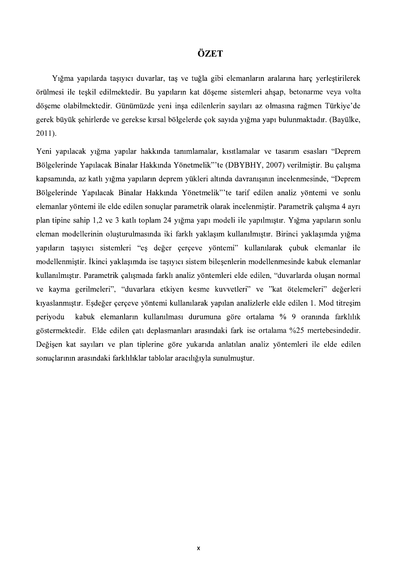## ÖZET

Yığma yapılarda taşıyıcı duvarlar, taş ve tuğla gibi elemanların aralarına harç yerleştirilerek<br>örülmesi ile teşkil edilmektedir. Bu yapıların kat döşeme sistemleri ahşap, betonarme veya volta döşeme olabilmektedir. Günümüzde yeni inşa edilenlerin sayıları az olmasına rağmen Türkiye'de gerek büyük şehirlerde ve gerekse kırsal bölgelerde çok sayıda yığma yapı bulunmaktadır. (Bayülke, 2011).

Yeni yapılacak yığma yapılar hakkında tanımlamalar, kısıtlamalar ve tasarım esasları "Deprem Bölgelerinde Yapılacak Binalar Hakkında Yönetmelik"'te (DBYBHY, 2007) verilmiştir. Bu çalışma kapsamında, az katlı yığma yapıların deprem yükleri altında davranışının incelenmesinde, "Deprem Bölgelerinde Yapılacak Binalar Hakkında Yönetmelik"'te tarif edilen analiz yöntemi ve sonlu elemanlar yöntemi ile elde edilen sonuçlar parametrik olarak incelenmiştir. Parametrik çalışma 4 ayrı plan tipine sahip 1,2 ve 3 katlı toplam 24 yığma yapı modeli ile yapılmıştır. Yığma yapıların sonlu eleman modellerinin oluşturulmasında iki farklı yaklaşım kullanılmıştır. Birinci yaklaşımda yığma yapıların taşıyıcı sistemleri "eş değer çerçeve yöntemi" kullanılarak çubuk elemanlar ile modellenmiştir. İkinci yaklaşımda ise taşıyıcı sistem bileşenlerin modellenmesinde kabuk elemanlar kullanılmıştır. Parametrik çalışmada farklı analiz yöntemleri elde edilen, "duvarlarda oluşan normal ve kayma gerilmeleri", "duvarlara etkiyen kesme kuvvetleri" ve "kat ötelemeleri" değerleri kıyaslanmıştır. Eşdeğer çerçeve yöntemi kullanılarak yapılan analizlerle elde edilen 1. Mod titresim periyodu kabuk elemanların kullanılması durumuna göre ortalama % 9 oranında farklılık göstermektedir. Elde edilen çatı deplasmanları arasındaki fark ise ortalama %25 mertebesindedir. Değişen kat sayıları ve plan tiplerine göre yukarıda anlatılan analiz yöntemleri ile elde edilen sonuçlarının arasındaki farklılıklar tablolar aracılığıyla sunulmuştur.